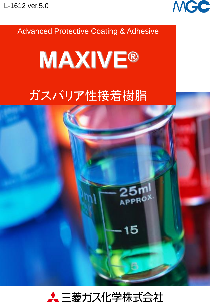

## Advanced Protective Coating & Adhesive



# ガスバリア性接着樹脂



15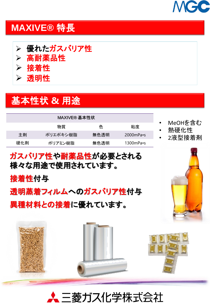

## **MAXIVE®** 特長

- ➢ 優れたガスバリア性
- ➢ 高耐薬品性
- ➢ 接着性
- ➢ 透明性

接着性付与

## 基本性状 **&** 用途

| MAXIVE® 基本性状 |          |      |                      |  |  |  |  |  |
|--------------|----------|------|----------------------|--|--|--|--|--|
|              | 物質       | 色    | 粘度                   |  |  |  |  |  |
| 主剤           | ポリエポキシ樹脂 | 無色透明 | $2000$ mPa $\cdot$ s |  |  |  |  |  |
| 硬化剤          | ポリアミン樹脂  | 無色透明 | $1300$ mPa•s         |  |  |  |  |  |

ガスバリア性や耐薬品性が必要とされる

透明蒸着フィルムへのガスバリア性付与

様々な用途で使用されています。

- MeOHを含む
- 熱硬化性
- 2液型接着剤





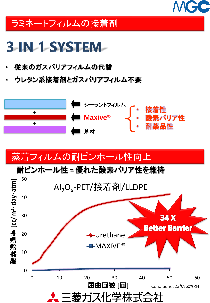

## ラミネートフィルムの接着剤

# **3-IN-1-SYSTEM-**

- 従来のガスバリアフィルムの代替
- ウレタン系接着剤とガスバリアフィルム不要



## 蒸着フィルムの耐ピンホール性向上

耐ピンホール性 **=** 優れた酸素バリア性を維持